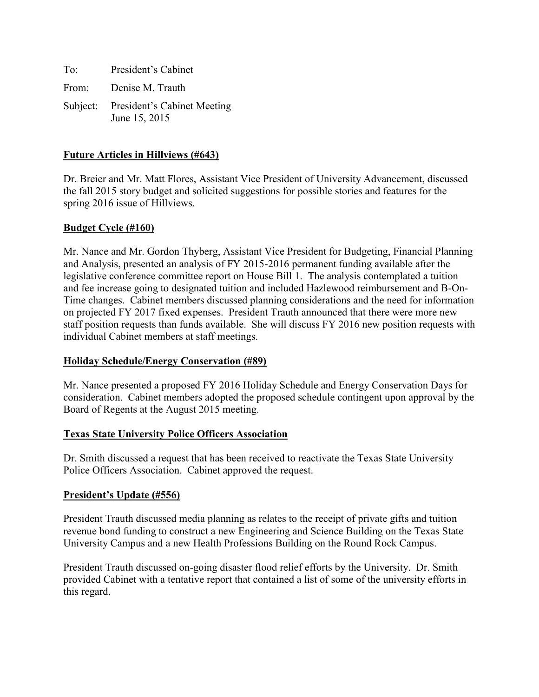To: President's Cabinet From: Denise M. Trauth Subject: President's Cabinet Meeting June 15, 2015

## **Future Articles in Hillviews (#643)**

Dr. Breier and Mr. Matt Flores, Assistant Vice President of University Advancement, discussed the fall 2015 story budget and solicited suggestions for possible stories and features for the spring 2016 issue of Hillviews.

#### **Budget Cycle (#160)**

Mr. Nance and Mr. Gordon Thyberg, Assistant Vice President for Budgeting, Financial Planning and Analysis, presented an analysis of FY 2015-2016 permanent funding available after the legislative conference committee report on House Bill 1. The analysis contemplated a tuition and fee increase going to designated tuition and included Hazlewood reimbursement and B-On-Time changes. Cabinet members discussed planning considerations and the need for information on projected FY 2017 fixed expenses. President Trauth announced that there were more new staff position requests than funds available. She will discuss FY 2016 new position requests with individual Cabinet members at staff meetings.

#### **Holiday Schedule/Energy Conservation (#89)**

Mr. Nance presented a proposed FY 2016 Holiday Schedule and Energy Conservation Days for consideration. Cabinet members adopted the proposed schedule contingent upon approval by the Board of Regents at the August 2015 meeting.

#### **Texas State University Police Officers Association**

Dr. Smith discussed a request that has been received to reactivate the Texas State University Police Officers Association. Cabinet approved the request.

#### **President's Update (#556)**

President Trauth discussed media planning as relates to the receipt of private gifts and tuition revenue bond funding to construct a new Engineering and Science Building on the Texas State University Campus and a new Health Professions Building on the Round Rock Campus.

President Trauth discussed on-going disaster flood relief efforts by the University. Dr. Smith provided Cabinet with a tentative report that contained a list of some of the university efforts in this regard.